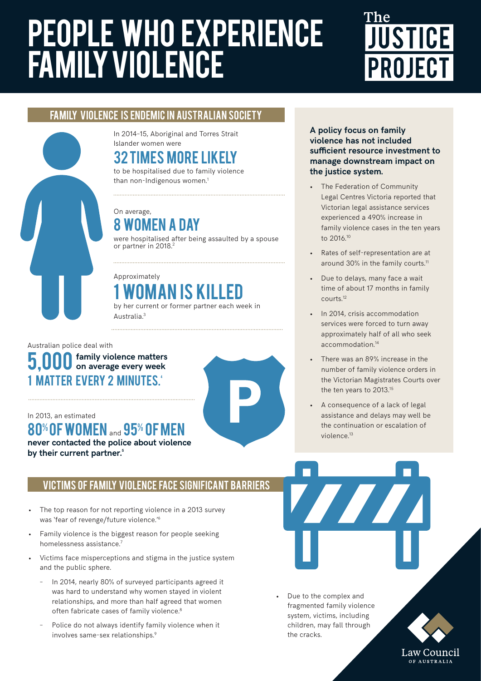# people who experience family violence

# **JUSTICE PROJECT**

## FAMILY VIOLENCE IS ENDEMIC IN AUSTRALIAN SOCIETY

In 2014–15, Aboriginal and Torres Strait Islander women were

## 32 times more likely

to be hospitalised due to family violence than non-Indigenous women.<sup>1</sup>

#### On average, 8 women a day

were hospitalised after being assaulted by a spouse or partner in 2018.<sup>2</sup>

## Approximately 1 woman is killed

by her current or former partner each week in Australia.3

#### Australian police deal with **5,000** family violence matters on average every week 1 MATTER EVERY 2 MINUTES. **on average every week**

#### In 2013, an estimated

80% OF WOMEN and 95% OF MEN **never contacted the police about violence** 

**by their current partner.5**

### VICTIMS OF FAMILY VIOLENCE FACE SIGNIFICANT BARRIERS

- The top reason for not reporting violence in a 2013 survey was 'fear of revenge/future violence.'6
- Family violence is the biggest reason for people seeking homelessness assistance.7
- Victims face misperceptions and stigma in the justice system and the public sphere.
	- In 2014, nearly 80% of surveyed participants agreed it was hard to understand why women stayed in violent relationships, and more than half agreed that women often fabricate cases of family violence.<sup>8</sup>
	- Police do not always identify family violence when it involves same-sex relationships.9

**A policy focus on family violence has not included sufficient resource investment to manage downstream impact on the justice system.** 

- The Federation of Community Legal Centres Victoria reported that Victorian legal assistance services experienced a 490% increase in family violence cases in the ten years to 2016.10
- Rates of self-representation are at around 30% in the family courts.<sup>11</sup>
- Due to delays, many face a wait time of about 17 months in family courts.12
- In 2014, crisis accommodation services were forced to turn away approximately half of all who seek accommodation.14
- There was an 89% increase in the number of family violence orders in the Victorian Magistrates Courts over the ten years to 2013.15
- A consequence of a lack of legal assistance and delays may well be the continuation or escalation of violence.13

Due to the complex and fragmented family violence system, victims, including children, may fall through the cracks.